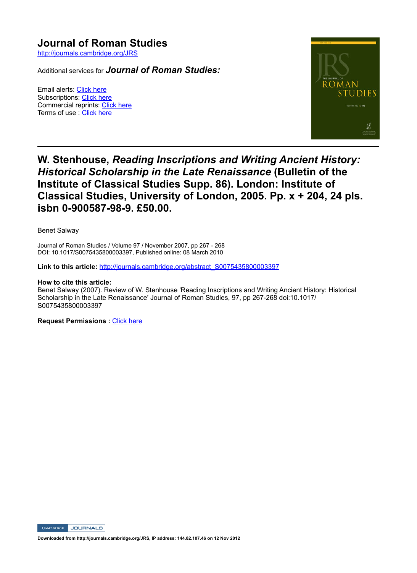## **Journal of Roman Studies**

http://journals.cambridge.org/JRS

Additional services for *Journal of Roman Studies:*

Email alerts: Click here Subscriptions: Click here Commercial reprints: Click here Terms of use : Click here



**W. Stenhouse,** *Reading Inscriptions and Writing Ancient History: Historical Scholarship in the Late Renaissance* **(Bulletin of the Institute of Classical Studies Supp. 86). London: Institute of Classical Studies, University of London, 2005. Pp. x + 204, 24 pls. isbn 0900587989. £50.00.**

Benet Salway

Journal of Roman Studies / Volume 97 / November 2007, pp 267 - 268 DOI: 10.1017/S0075435800003397, Published online: 08 March 2010

**Link to this article:** http://journals.cambridge.org/abstract\_S0075435800003397

## **How to cite this article:**

Benet Salway (2007). Review of W. Stenhouse 'Reading Inscriptions and Writing Ancient History: Historical Scholarship in the Late Renaissance' Journal of Roman Studies, 97, pp 267-268 doi:10.1017/ S0075435800003397

**Request Permissions :** Click here

CAMBRIDGE JOURNALS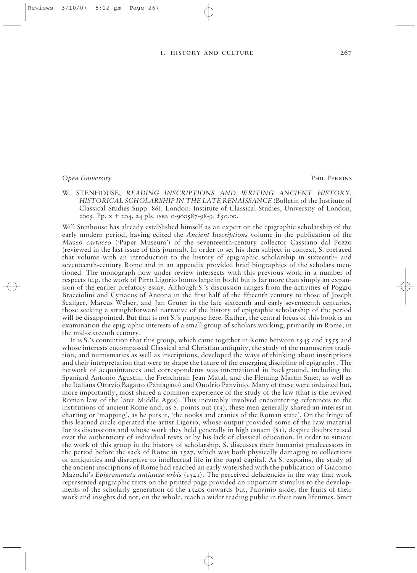## Open University

## PHIL PERKINS

W. STENHOUSE, READING INSCRIPTIONS AND WRITING ANCIENT HISTORY: HISTORICAL SCHOLARSHIP IN THE LATE RENAISSANCE (Bulletin of the Institute of Classical Studies Supp. 86). London: Institute of Classical Studies, University of London, 2005. Pp.  $x + 204$ , 24 pls. ISBN 0-900587-98-9. £50.00.

Will Stenhouse has already established himself as an expert on the epigraphic scholarship of the early modern period, having edited the Ancient Inscriptions volume in the publication of the *Museo cartaceo* ('Paper Museum') of the seventeenth-century collector Cassiano dal Pozzo (reviewed in the last issue of this journal). In order to set his then subject in context, S. prefaced that volume with an introduction to the history of epigraphic scholarship in sixteenth- and seventeenth-century Rome and in an appendix provided brief biographies of the scholars mentioned. The monograph now under review intersects with this previous work in a number of respects (e.g. the work of Pirro Ligorio looms large in both) but is far more than simply an expansion of the earlier prefatory essay. Although S.'s discussion ranges from the activities of Poggio Bracciolini and Cyriacus of Ancona in the first half of the fifteenth century to those of Joseph Scaliger, Marcus Welser, and Jan Gruter in the late sixteenth and early seventeenth centuries, those seeking a straightforward narrative of the history of epigraphic scholarship of the period will be disappointed. But that is not S.'s purpose here. Rather, the central focus of this book is an examination the epigraphic interests of a small group of scholars working, primarily in Rome, in the mid-sixteenth century.

It is S.'s contention that this group, which came together in Rome between 1545 and 1555 and whose interests encompassed Classical and Christian antiquity, the study of the manuscript tradition, and numismatics as well as inscriptions, developed the ways of thinking about inscriptions and their interpretation that were to shape the future of the emerging discipline of epigraphy. The network of acquaintances and correspondents was international in background, including the Spaniard Antonio Agustín, the Frenchman Jean Matal, and the Fleming Martin Smet, as well as the Italians Ottavio Bagatto (Pantagato) and Onofrio Panvinio. Many of these were ordained but, more importantly, most shared a common experience of the study of the law (that is the revived Roman law of the later Middle Ages). This inevitably involved encountering references to the institutions of ancient Rome and, as S. points out  $(x_3)$ , these men generally shared an interest in charting or 'mapping', as he puts it, 'the nooks and cranies of the Roman state'. On the fringe of this learned circle operated the artist Ligorio, whose output provided some of the raw material for its discussions and whose work they held generally in high esteem  $(8r)$ , despite doubts raised over the authenticity of individual texts or by his lack of classical education. In order to situate the work of this group in the history of scholarship, S. discusses their humanist predecessors in the period before the sack of Rome in  $1527$ , which was both physically damaging to collections of antiquities and disruptive to intellectual life in the papal capital. As S. explains, the study of the ancient inscriptions of Rome had reached an early watershed with the publication of Giacomo Mazochi's *Epigrammata antiquae urbis*  $(\text{I52I})$ . The perceived deficiencies in the way that work represented epigraphic texts on the printed page provided an important stimulus to the developments of the scholarly generation of the 1540s onwards but, Panvinio aside, the fruits of their work and insights did not, on the whole, reach a wider reading public in their own lifetimes. Smet